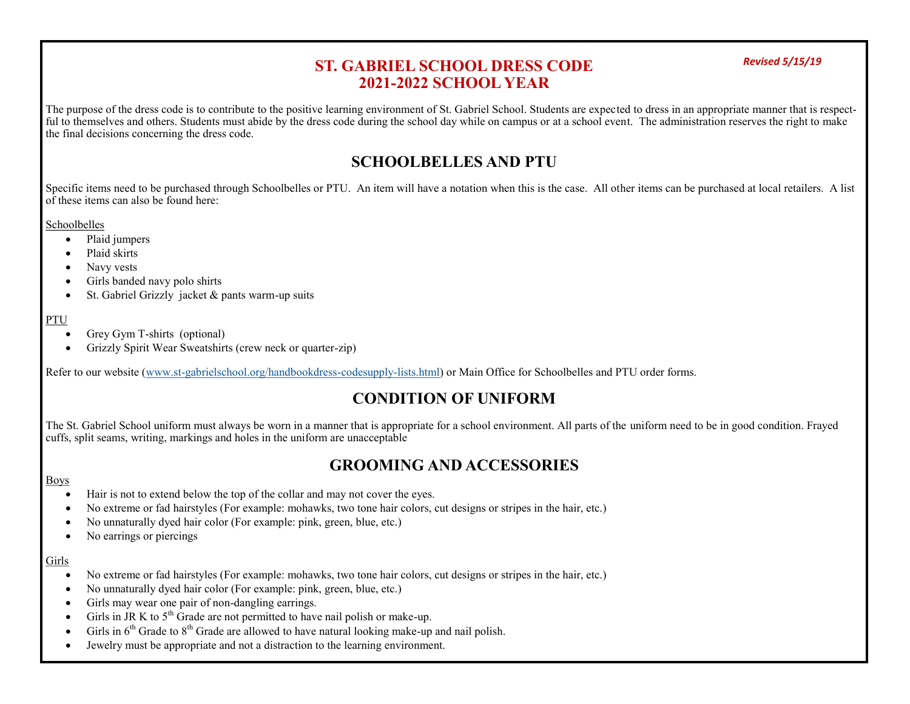### *Revised 5/15/19* **ST. GABRIEL SCHOOL DRESS CODE 2021-2022 SCHOOL YEAR**

The purpose of the dress code is to contribute to the positive learning environment of St. Gabriel School. Students are expected to dress in an appropriate manner that is respectful to themselves and others. Students must abide by the dress code during the school day while on campus or at a school event. The administration reserves the right to make the final decisions concerning the dress code.

## **SCHOOLBELLES AND PTU**

Specific items need to be purchased through Schoolbelles or PTU. An item will have a notation when this is the case. All other items can be purchased at local retailers. A list of these items can also be found here:

**Schoolbelles** 

- Plaid jumpers
- Plaid skirts
- Navy vests
- Girls banded navy polo shirts
- $\bullet$  St. Gabriel Grizzly jacket & pants warm-up suits

### PTU

- Grey Gym T-shirts (optional)
- Grizzly Spirit Wear Sweatshirts (crew neck or quarter-zip)

Refer to our website (www.st-[gabrielschool.org/handbookdress](https://www.st-gabrielschool.org/handbookdress-codesupply-lists.html)-codesupply-lists.html) or Main Office for Schoolbelles and PTU order forms.

# **CONDITION OF UNIFORM**

The St. Gabriel School uniform must always be worn in a manner that is appropriate for a school environment. All parts of the uniform need to be in good condition. Frayed cuffs, split seams, writing, markings and holes in the uniform are unacceptable

## **GROOMING AND ACCESSORIES**

### Boys

- Hair is not to extend below the top of the collar and may not cover the eyes.
- No extreme or fad hairstyles (For example: mohawks, two tone hair colors, cut designs or stripes in the hair, etc.)
- No unnaturally dyed hair color (For example: pink, green, blue, etc.)
- No earrings or piercings

### Girls

- No extreme or fad hairstyles (For example: mohawks, two tone hair colors, cut designs or stripes in the hair, etc.)
- No unnaturally dyed hair color (For example: pink, green, blue, etc.)
- Girls may wear one pair of non-dangling earrings.
- Girls in JR K to  $5<sup>th</sup>$  Grade are not permitted to have nail polish or make-up.
- Girls in  $6<sup>th</sup>$  Grade to  $8<sup>th</sup>$  Grade are allowed to have natural looking make-up and nail polish.
- Jewelry must be appropriate and not a distraction to the learning environment.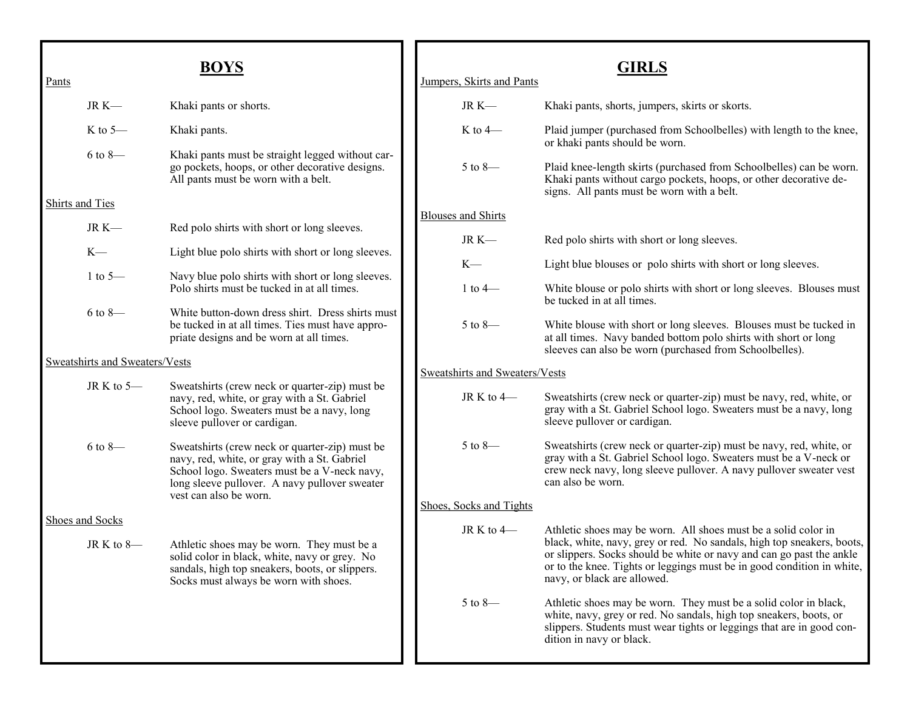| Pants                          |                 | <b>BOYS</b>                                                                                                                                                                                     |  | Jumpers, Skirts and Pants      | <b>GIRLS</b>                                                                                                                                                                                                                                            |  |  |
|--------------------------------|-----------------|-------------------------------------------------------------------------------------------------------------------------------------------------------------------------------------------------|--|--------------------------------|---------------------------------------------------------------------------------------------------------------------------------------------------------------------------------------------------------------------------------------------------------|--|--|
|                                | $JR K$ —        | Khaki pants or shorts.                                                                                                                                                                          |  | JR $K-$                        | Khaki pants, shorts, jumpers, skirts or skorts.                                                                                                                                                                                                         |  |  |
|                                | K to $5-$       | Khaki pants.                                                                                                                                                                                    |  | $K$ to 4 $-$                   | Plaid jumper (purchased from Schoolbelles) with length to the knee,<br>or khaki pants should be worn.                                                                                                                                                   |  |  |
|                                | $6$ to $8-$     | Khaki pants must be straight legged without car-<br>go pockets, hoops, or other decorative designs.<br>All pants must be worn with a belt.                                                      |  | $5$ to 8-                      | Plaid knee-length skirts (purchased from Schoolbelles) can be worn.<br>Khaki pants without cargo pockets, hoops, or other decorative de-<br>signs. All pants must be worn with a belt.                                                                  |  |  |
| <b>Shirts and Ties</b>         |                 |                                                                                                                                                                                                 |  | <b>Blouses and Shirts</b>      |                                                                                                                                                                                                                                                         |  |  |
|                                | JR $K-$         | Red polo shirts with short or long sleeves.                                                                                                                                                     |  | JR $K-$                        | Red polo shirts with short or long sleeves.                                                                                                                                                                                                             |  |  |
|                                | $K-$            | Light blue polo shirts with short or long sleeves.                                                                                                                                              |  | $K-$                           | Light blue blouses or polo shirts with short or long sleeves.                                                                                                                                                                                           |  |  |
|                                | 1 to $5-$       | Navy blue polo shirts with short or long sleeves.<br>Polo shirts must be tucked in at all times.                                                                                                |  | 1 to $4-$                      | White blouse or polo shirts with short or long sleeves. Blouses must<br>be tucked in at all times.                                                                                                                                                      |  |  |
|                                | $6$ to $8-$     | White button-down dress shirt. Dress shirts must<br>be tucked in at all times. Ties must have appro-<br>priate designs and be worn at all times.                                                |  | $5$ to 8—                      | White blouse with short or long sleeves. Blouses must be tucked in<br>at all times. Navy banded bottom polo shirts with short or long<br>sleeves can also be worn (purchased from Schoolbelles).                                                        |  |  |
| Sweatshirts and Sweaters/Vests |                 |                                                                                                                                                                                                 |  | Sweatshirts and Sweaters/Vests |                                                                                                                                                                                                                                                         |  |  |
|                                | JR K to 5-      | Sweatshirts (crew neck or quarter-zip) must be<br>navy, red, white, or gray with a St. Gabriel<br>School logo. Sweaters must be a navy, long<br>sleeve pullover or cardigan.                    |  | JR K to $4-$                   | Sweatshirts (crew neck or quarter-zip) must be navy, red, white, or<br>gray with a St. Gabriel School logo. Sweaters must be a navy, long<br>sleeve pullover or cardigan.                                                                               |  |  |
|                                | $6$ to $8-$     | Sweatshirts (crew neck or quarter-zip) must be<br>navy, red, white, or gray with a St. Gabriel<br>School logo. Sweaters must be a V-neck navy,<br>long sleeve pullover. A navy pullover sweater |  | $5$ to 8—                      | Sweatshirts (crew neck or quarter-zip) must be navy, red, white, or<br>gray with a St. Gabriel School logo. Sweaters must be a V-neck or<br>crew neck navy, long sleeve pullover. A navy pullover sweater vest<br>can also be worn.                     |  |  |
|                                |                 | vest can also be worn.                                                                                                                                                                          |  | Shoes, Socks and Tights        |                                                                                                                                                                                                                                                         |  |  |
|                                | Shoes and Socks |                                                                                                                                                                                                 |  | JR K to $4-$                   | Athletic shoes may be worn. All shoes must be a solid color in                                                                                                                                                                                          |  |  |
|                                | JR K to $8-$    | Athletic shoes may be worn. They must be a<br>solid color in black, white, navy or grey. No<br>sandals, high top sneakers, boots, or slippers.<br>Socks must always be worn with shoes.         |  |                                | black, white, navy, grey or red. No sandals, high top sneakers, boots,<br>or slippers. Socks should be white or navy and can go past the ankle<br>or to the knee. Tights or leggings must be in good condition in white,<br>navy, or black are allowed. |  |  |
|                                |                 |                                                                                                                                                                                                 |  | $5$ to $8-$                    | Athletic shoes may be worn. They must be a solid color in black,<br>white, navy, grey or red. No sandals, high top sneakers, boots, or<br>slippers. Students must wear tights or leggings that are in good con-<br>dition in navy or black.             |  |  |